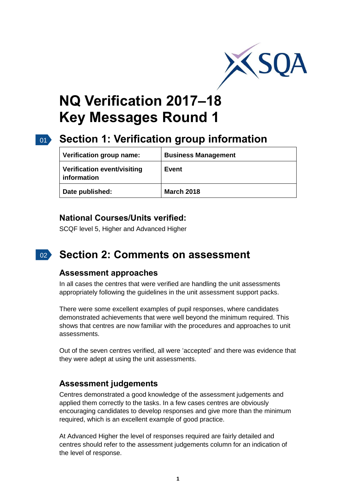

# **NQ Verification 2017–18 Key Messages Round 1**

## 01 **Section 1: Verification group information**

| Verification group name:                   | <b>Business Management</b> |
|--------------------------------------------|----------------------------|
| Verification event/visiting<br>information | Event                      |
| Date published:                            | <b>March 2018</b>          |

## **National Courses/Units verified:**

SCQF level 5, Higher and Advanced Higher

#### $02<sup>2</sup>$ **Section 2: Comments on assessment**

## **Assessment approaches**

In all cases the centres that were verified are handling the unit assessments appropriately following the guidelines in the unit assessment support packs.

There were some excellent examples of pupil responses, where candidates demonstrated achievements that were well beyond the minimum required. This shows that centres are now familiar with the procedures and approaches to unit assessments.

Out of the seven centres verified, all were 'accepted' and there was evidence that they were adept at using the unit assessments.

## **Assessment judgements**

Centres demonstrated a good knowledge of the assessment judgements and applied them correctly to the tasks. In a few cases centres are obviously encouraging candidates to develop responses and give more than the minimum required, which is an excellent example of good practice.

At Advanced Higher the level of responses required are fairly detailed and centres should refer to the assessment judgements column for an indication of the level of response.